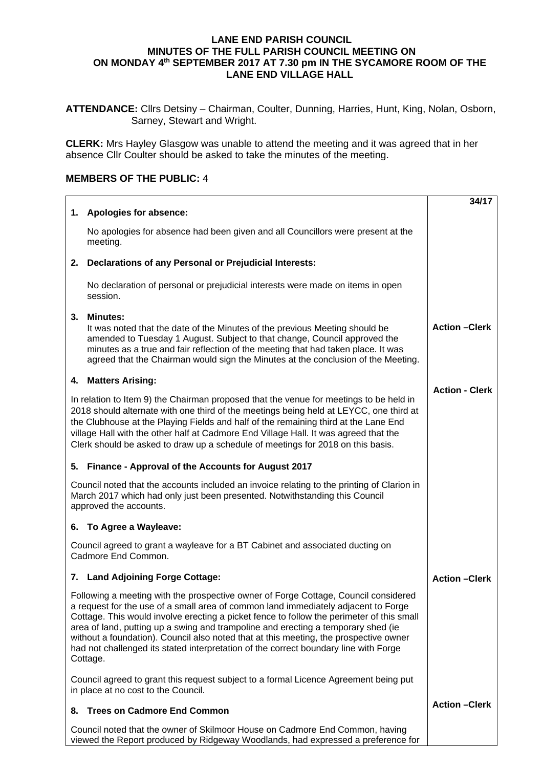## **LANE END PARISH COUNCIL MINUTES OF THE FULL PARISH COUNCIL MEETING ON ON MONDAY 4th SEPTEMBER 2017 AT 7.30 pm IN THE SYCAMORE ROOM OF THE LANE END VILLAGE HALL**

**ATTENDANCE:** Cllrs Detsiny – Chairman, Coulter, Dunning, Harries, Hunt, King, Nolan, Osborn, Sarney, Stewart and Wright.

**CLERK:** Mrs Hayley Glasgow was unable to attend the meeting and it was agreed that in her absence Cllr Coulter should be asked to take the minutes of the meeting.

## **MEMBERS OF THE PUBLIC:** 4

|                                                                                                                                                                                                                                                                                                                                                                                                                                                                                                                                                          | 34/17                 |
|----------------------------------------------------------------------------------------------------------------------------------------------------------------------------------------------------------------------------------------------------------------------------------------------------------------------------------------------------------------------------------------------------------------------------------------------------------------------------------------------------------------------------------------------------------|-----------------------|
| 1. Apologies for absence:                                                                                                                                                                                                                                                                                                                                                                                                                                                                                                                                |                       |
| No apologies for absence had been given and all Councillors were present at the<br>meeting.                                                                                                                                                                                                                                                                                                                                                                                                                                                              |                       |
| Declarations of any Personal or Prejudicial Interests:<br>2.                                                                                                                                                                                                                                                                                                                                                                                                                                                                                             |                       |
| No declaration of personal or prejudicial interests were made on items in open<br>session.                                                                                                                                                                                                                                                                                                                                                                                                                                                               |                       |
| <b>Minutes:</b><br>3.<br>It was noted that the date of the Minutes of the previous Meeting should be<br>amended to Tuesday 1 August. Subject to that change, Council approved the<br>minutes as a true and fair reflection of the meeting that had taken place. It was<br>agreed that the Chairman would sign the Minutes at the conclusion of the Meeting.                                                                                                                                                                                              | <b>Action - Clerk</b> |
| 4. Matters Arising:                                                                                                                                                                                                                                                                                                                                                                                                                                                                                                                                      | <b>Action - Clerk</b> |
| In relation to Item 9) the Chairman proposed that the venue for meetings to be held in<br>2018 should alternate with one third of the meetings being held at LEYCC, one third at<br>the Clubhouse at the Playing Fields and half of the remaining third at the Lane End<br>village Hall with the other half at Cadmore End Village Hall. It was agreed that the<br>Clerk should be asked to draw up a schedule of meetings for 2018 on this basis.                                                                                                       |                       |
| 5. Finance - Approval of the Accounts for August 2017                                                                                                                                                                                                                                                                                                                                                                                                                                                                                                    |                       |
| Council noted that the accounts included an invoice relating to the printing of Clarion in<br>March 2017 which had only just been presented. Notwithstanding this Council<br>approved the accounts.                                                                                                                                                                                                                                                                                                                                                      |                       |
| 6. To Agree a Wayleave:                                                                                                                                                                                                                                                                                                                                                                                                                                                                                                                                  |                       |
| Council agreed to grant a wayleave for a BT Cabinet and associated ducting on<br>Cadmore End Common.                                                                                                                                                                                                                                                                                                                                                                                                                                                     |                       |
| 7. Land Adjoining Forge Cottage:                                                                                                                                                                                                                                                                                                                                                                                                                                                                                                                         | <b>Action - Clerk</b> |
| Following a meeting with the prospective owner of Forge Cottage, Council considered<br>a request for the use of a small area of common land immediately adjacent to Forge<br>Cottage. This would involve erecting a picket fence to follow the perimeter of this small<br>area of land, putting up a swing and trampoline and erecting a temporary shed (ie<br>without a foundation). Council also noted that at this meeting, the prospective owner<br>had not challenged its stated interpretation of the correct boundary line with Forge<br>Cottage. |                       |
| Council agreed to grant this request subject to a formal Licence Agreement being put<br>in place at no cost to the Council.                                                                                                                                                                                                                                                                                                                                                                                                                              |                       |
| <b>Trees on Cadmore End Common</b><br>8.                                                                                                                                                                                                                                                                                                                                                                                                                                                                                                                 | <b>Action - Clerk</b> |
| Council noted that the owner of Skilmoor House on Cadmore End Common, having<br>viewed the Report produced by Ridgeway Woodlands, had expressed a preference for                                                                                                                                                                                                                                                                                                                                                                                         |                       |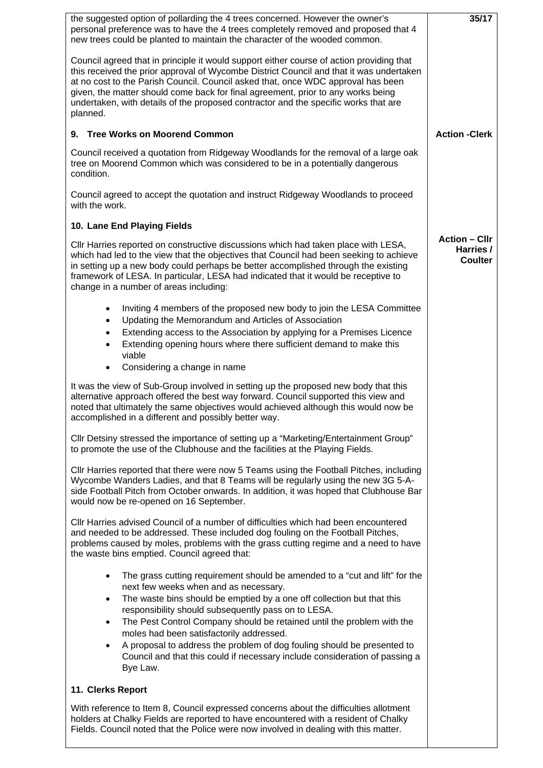| the suggested option of pollarding the 4 trees concerned. However the owner's<br>personal preference was to have the 4 trees completely removed and proposed that 4<br>new trees could be planted to maintain the character of the wooded common.                                                                                                                                                                                                              | 35/17                                               |
|----------------------------------------------------------------------------------------------------------------------------------------------------------------------------------------------------------------------------------------------------------------------------------------------------------------------------------------------------------------------------------------------------------------------------------------------------------------|-----------------------------------------------------|
| Council agreed that in principle it would support either course of action providing that<br>this received the prior approval of Wycombe District Council and that it was undertaken<br>at no cost to the Parish Council. Council asked that, once WDC approval has been<br>given, the matter should come back for final agreement, prior to any works being<br>undertaken, with details of the proposed contractor and the specific works that are<br>planned. |                                                     |
| 9. Tree Works on Moorend Common                                                                                                                                                                                                                                                                                                                                                                                                                                | <b>Action -Clerk</b>                                |
| Council received a quotation from Ridgeway Woodlands for the removal of a large oak<br>tree on Moorend Common which was considered to be in a potentially dangerous<br>condition.                                                                                                                                                                                                                                                                              |                                                     |
| Council agreed to accept the quotation and instruct Ridgeway Woodlands to proceed<br>with the work.                                                                                                                                                                                                                                                                                                                                                            |                                                     |
| 10. Lane End Playing Fields                                                                                                                                                                                                                                                                                                                                                                                                                                    |                                                     |
| CIIr Harries reported on constructive discussions which had taken place with LESA,<br>which had led to the view that the objectives that Council had been seeking to achieve<br>in setting up a new body could perhaps be better accomplished through the existing<br>framework of LESA. In particular, LESA had indicated that it would be receptive to<br>change in a number of areas including:                                                             | <b>Action – Cllr</b><br>Harries /<br><b>Coulter</b> |
| Inviting 4 members of the proposed new body to join the LESA Committee<br>$\bullet$<br>Updating the Memorandum and Articles of Association<br>$\bullet$<br>Extending access to the Association by applying for a Premises Licence<br>$\bullet$<br>Extending opening hours where there sufficient demand to make this<br>$\bullet$<br>viable<br>Considering a change in name<br>$\bullet$                                                                       |                                                     |
| It was the view of Sub-Group involved in setting up the proposed new body that this<br>alternative approach offered the best way forward. Council supported this view and<br>noted that ultimately the same objectives would achieved although this would now be<br>accomplished in a different and possibly better way.                                                                                                                                       |                                                     |
| CIIr Detsiny stressed the importance of setting up a "Marketing/Entertainment Group"<br>to promote the use of the Clubhouse and the facilities at the Playing Fields.                                                                                                                                                                                                                                                                                          |                                                     |
| CIIr Harries reported that there were now 5 Teams using the Football Pitches, including<br>Wycombe Wanders Ladies, and that 8 Teams will be regularly using the new 3G 5-A-<br>side Football Pitch from October onwards. In addition, it was hoped that Clubhouse Bar<br>would now be re-opened on 16 September.                                                                                                                                               |                                                     |
| CIIr Harries advised Council of a number of difficulties which had been encountered<br>and needed to be addressed. These included dog fouling on the Football Pitches,<br>problems caused by moles, problems with the grass cutting regime and a need to have<br>the waste bins emptied. Council agreed that:                                                                                                                                                  |                                                     |
| The grass cutting requirement should be amended to a "cut and lift" for the<br>$\bullet$<br>next few weeks when and as necessary.<br>The waste bins should be emptied by a one off collection but that this<br>$\bullet$<br>responsibility should subsequently pass on to LESA.<br>The Pest Control Company should be retained until the problem with the<br>$\bullet$<br>moles had been satisfactorily addressed.                                             |                                                     |
| A proposal to address the problem of dog fouling should be presented to<br>$\bullet$<br>Council and that this could if necessary include consideration of passing a<br>Bye Law.                                                                                                                                                                                                                                                                                |                                                     |
| 11. Clerks Report                                                                                                                                                                                                                                                                                                                                                                                                                                              |                                                     |
| With reference to Item 8, Council expressed concerns about the difficulties allotment<br>holders at Chalky Fields are reported to have encountered with a resident of Chalky<br>Fields. Council noted that the Police were now involved in dealing with this matter.                                                                                                                                                                                           |                                                     |
|                                                                                                                                                                                                                                                                                                                                                                                                                                                                |                                                     |